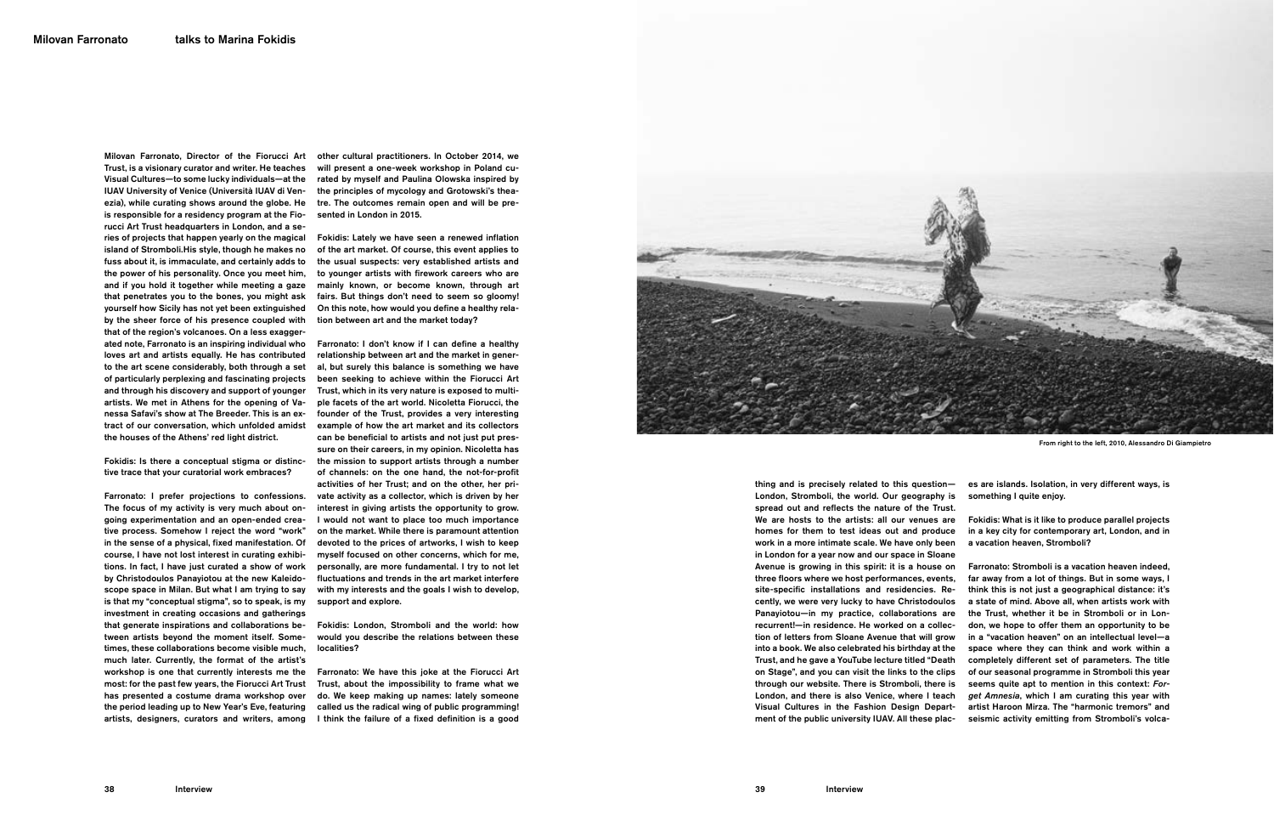Milovan Farronato, Director of the Fiorucci Art Trust, is a visionary curator and writer. He teaches Visual Cultures—to some lucky individuals—at the IUAV University of Venice (Università IUAV di Venezia), while curating shows around the globe. He is responsible for a residency program at the Fiorucci Art Trust headquarters in London, and a series of projects that happen yearly on the magical island of Stromboli.His style, though he makes no fuss about it, is immaculate, and certainly adds to the power of his personality. Once you meet him, and if you hold it together while meeting a gaze that penetrates you to the bones, you might ask yourself how Sicily has not yet been extinguished by the sheer force of his presence coupled with that of the region's volcanoes. On a less exaggerated note, Farronato is an inspiring individual who loves art and artists equally. He has contributed to the art scene considerably, both through a set of particularly perplexing and fascinating projects and through his discovery and support of younger artists. We met in Athens for the opening of Vanessa Safavi's show at The Breeder. This is an extract of our conversation, which unfolded amidst the houses of the Athens' red light district.

Fokidis: Is there a conceptual stigma or distinctive trace that your curatorial work embraces?

Farronato: I prefer projections to confessions. The focus of my activity is very much about ongoing experimentation and an open-ended creative process. Somehow I reject the word "work" in the sense of a physical, fixed manifestation. Of course, I have not lost interest in curating exhibitions. In fact, I have just curated a show of work by Christodoulos Panayiotou at the new Kaleidoscope space in Milan. But what I am trying to say is that my "conceptual stigma", so to speak, is my investment in creating occasions and gatherings that generate inspirations and collaborations between artists beyond the moment itself. Sometimes, these collaborations become visible much, much later. Currently, the format of the artist's workshop is one that currently interests me the most: for the past few years, the Fiorucci Art Trust has presented a costume drama workshop over the period leading up to New Year's Eve, featuring artists, designers, curators and writers, among

From right to the left, 2010, Alessandro Di Giampietro

other cultural practitioners. In October 2014, we will present a one-week workshop in Poland curated by myself and Paulina Olowska inspired by the principles of mycology and Grotowski's theatre. The outcomes remain open and will be presented in London in 2015.

Fokidis: Lately we have seen a renewed inflation of the art market. Of course, this event applies to the usual suspects: very established artists and to younger artists with firework careers who are mainly known, or become known, through art fairs. But things don't need to seem so gloomy! On this note, how would you define a healthy relation between art and the market today?

Farronato: I don't know if I can define a healthy relationship between art and the market in general, but surely this balance is something we have been seeking to achieve within the Fiorucci Art Trust, which in its very nature is exposed to multiple facets of the art world. Nicoletta Fiorucci, the founder of the Trust, provides a very interesting example of how the art market and its collectors can be beneficial to artists and not just put pressure on their careers, in my opinion. Nicoletta has the mission to support artists through a number of channels: on the one hand, the not-for-profit activities of her Trust; and on the other, her private activity as a collector, which is driven by her interest in giving artists the opportunity to grow. I would not want to place too much importance on the market. While there is paramount attention devoted to the prices of artworks, I wish to keep myself focused on other concerns, which for me, personally, are more fundamental. I try to not let fluctuations and trends in the art market interfere with my interests and the goals I wish to develop, support and explore.

Fokidis: London, Stromboli and the world: how would you describe the relations between these localities?

Farronato: We have this joke at the Fiorucci Art Trust, about the impossibility to frame what we do. We keep making up names: lately someone called us the radical wing of public programming! I think the failure of a fixed definition is a good



thing and is precisely related to this question— London, Stromboli, the world. Our geography is spread out and reflects the nature of the Trust. We are hosts to the artists: all our venues are homes for them to test ideas out and produce work in a more intimate scale. We have only been in London for a year now and our space in Sloane Avenue is growing in this spirit: it is a house on three floors where we host performances, events, site-specific installations and residencies. Recently, we were very lucky to have Christodoulos Panayiotou—in my practice, collaborations are recurrent!—in residence. He worked on a collection of letters from Sloane Avenue that will grow into a book. We also celebrated his birthday at the Trust, and he gave a YouTube lecture titled "Death on Stage", and you can visit the links to the clips through our website. There is Stromboli, there is London, and there is also Venice, where I teach Visual Cultures in the Fashion Design Department of the public university IUAV. All these places are islands. Isolation, in very different ways, is something I quite enjoy.

Fokidis: What is it like to produce parallel projects in a key city for contemporary art, London, and in a vacation heaven, Stromboli?

Farronato: Stromboli is a vacation heaven indeed, far away from a lot of things. But in some ways, I think this is not just a geographical distance: it's a state of mind. Above all, when artists work with the Trust, whether it be in Stromboli or in London, we hope to offer them an opportunity to be in a "vacation heaven" on an intellectual level—a space where they can think and work within a completely different set of parameters. The title of our seasonal programme in Stromboli this year seems quite apt to mention in this context: Forget Amnesia, which I am curating this year with artist Haroon Mirza. The "harmonic tremors" and seismic activity emitting from Stromboli's volca-